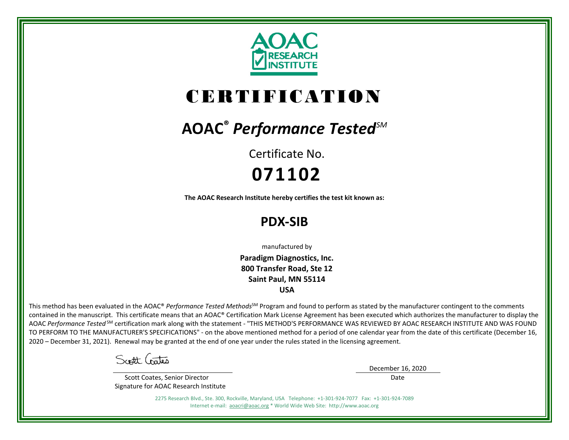

# CERTIFICATION

## **AOAC®** *Performance TestedSM*

Certificate No. **071102**

**The AOAC Research Institute hereby certifies the test kit known as:**

### **PDX-SIB**

manufactured by

**Paradigm Diagnostics, Inc. 800 Transfer Road, Ste 12 Saint Paul, MN 55114 USA**

This method has been evaluated in the AOAC® *Performance Tested Methods*<sup>SM</sup> Program and found to perform as stated by the manufacturer contingent to the comments contained in the manuscript. This certificate means that an AOAC® Certification Mark License Agreement has been executed which authorizes the manufacturer to display the AOAC *Performance Tested* SM certification mark along with the statement - "THIS METHOD'S PERFORMANCE WAS REVIEWED BY AOAC RESEARCH INSTITUTE AND WAS FOUND TO PERFORM TO THE MANUFACTURER'S SPECIFICATIONS" - on the above mentioned method for a period of one calendar year from the date of this certificate (December 16, 2020 – December 31, 2021). Renewal may be granted at the end of one year under the rules stated in the licensing agreement.

Scott Gates

 Scott Coates, Senior Director Signature for AOAC Research Institute December 16, 2020

Date

2275 Research Blvd., Ste. 300, Rockville, Maryland, USA Telephone: +1-301-924-7077 Fax: +1-301-924-7089 Internet e-mail: [aoacri@aoac.org](mailto:aoacri@aoac.org) \* World Wide Web Site: http://www.aoac.org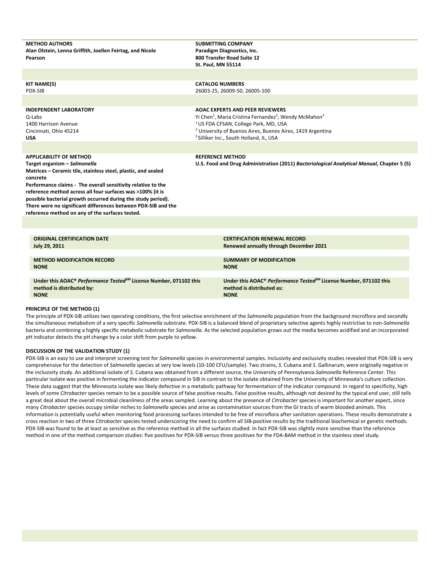| <b>METHOD AUTHORS</b><br>Alan Olstein, Lenna Griffith, Joellen Feirtag, and Nicole<br>Pearson                                                                                                                                                                                                                                                                                                                                                                 | <b>SUBMITTING COMPANY</b><br>Paradigm Diagnostics, Inc.<br>800 Transfer Road Suite 12<br><b>St. Paul, MN 55114</b>                                                                                                                                                                                                     |
|---------------------------------------------------------------------------------------------------------------------------------------------------------------------------------------------------------------------------------------------------------------------------------------------------------------------------------------------------------------------------------------------------------------------------------------------------------------|------------------------------------------------------------------------------------------------------------------------------------------------------------------------------------------------------------------------------------------------------------------------------------------------------------------------|
|                                                                                                                                                                                                                                                                                                                                                                                                                                                               |                                                                                                                                                                                                                                                                                                                        |
| <b>KIT NAME(S)</b><br>PDX-SIB                                                                                                                                                                                                                                                                                                                                                                                                                                 | <b>CATALOG NUMBERS</b><br>26003-25, 26009-50, 26005-100                                                                                                                                                                                                                                                                |
| <b>INDEPENDENT LABORATORY</b><br>Q-Labs<br>1400 Harrison Avenue<br>Cincinnati, Ohio 45214<br>USA                                                                                                                                                                                                                                                                                                                                                              | <b>AOAC EXPERTS AND PEER REVIEWERS</b><br>Yi Chen <sup>1</sup> , Maria Cristina Fernandez <sup>2</sup> , Wendy McMahon <sup>3</sup><br><sup>1</sup> US FDA CFSAN, College Park, MD, USA<br><sup>2</sup> University of Buenos Aires, Buenos Aires, 1419 Argentina<br><sup>3</sup> Silliker Inc., South Holland, IL, USA |
|                                                                                                                                                                                                                                                                                                                                                                                                                                                               |                                                                                                                                                                                                                                                                                                                        |
| <b>APPLICABILITY OF METHOD</b><br>Target organism - Salmonella<br>Matrices - Ceramic tile, stainless steel, plastic, and sealed<br>concrete<br>Performance claims - The overall sensitivity relative to the<br>reference method across all four surfaces was >100% (it is<br>possible bacterial growth occurred during the study period).<br>There were no significant differences between PDX-SIB and the<br>reference method on any of the surfaces tested. | <b>REFERENCE METHOD</b><br>U.S. Food and Drug Administration (2011) Bacteriological Analytical Manual, Chapter 5 (5)                                                                                                                                                                                                   |
|                                                                                                                                                                                                                                                                                                                                                                                                                                                               |                                                                                                                                                                                                                                                                                                                        |
| <b>ORIGINAL CERTIFICATION DATE</b><br>July 29, 2011                                                                                                                                                                                                                                                                                                                                                                                                           | <b>CERTIFICATION RENEWAL RECORD</b><br><b>Renewed annually through December 2021</b>                                                                                                                                                                                                                                   |
| <b>METHOD MODIFICATION RECORD</b><br><b>NONE</b>                                                                                                                                                                                                                                                                                                                                                                                                              | <b>SUMMARY OF MODIFICATION</b><br><b>NONE</b>                                                                                                                                                                                                                                                                          |
| Under this AOAC® Performance Tested <sup>SM</sup> License Number, 071102 this<br>method is distributed by:<br><b>NONE</b>                                                                                                                                                                                                                                                                                                                                     | Under this AOAC® Performance Tested <sup>5M</sup> License Number, 071102 this<br>method is distributed as:<br><b>NONE</b>                                                                                                                                                                                              |

#### **PRINCIPLE OF THE METHOD (1)**

The principle of PDX-SIB utilizes two operating conditions, the first selective enrichment of the *Salmonella* population from the background microflora and secondly the simultaneous metabolism of a very specific *Salmonella* substrate. PDX-SIB is a balanced blend of proprietary selective agents highly restrictive to non-*Salmonella* bacteria and combining a highly specific metabolic substrate for *Salmonella.* As the selected population grows out the media becomes acidified and an incorporated pH indicator detects the pH change by a color shift from purple to yellow.

#### **DISCUSSION OF THE VALIDATION STUDY (1)**

PDX-SIB is an easy to use and interpret screening test for *Salmonella* species in environmental samples. Inclusivity and exclusivity studies revealed that PDX-SIB is very comprehensive for the detection of *Salmonella* species at very low levels (10-100 CFU/sample). Two strains, *S*. Cubana and *S*. Gallinarum, were originally negative in the inclusivity study. An additional isolate of *S*. Cubana was obtained from a different source, the University of Pennsylvania *Salmonella* Reference Center. This particular isolate was positive in fermenting the indicator compound in SIB in contrast to the isolate obtained from the University of Minnesota's culture collection. These data suggest that the Minnesota isolate was likely defective in a metabolic pathway for fermentation of the indicator compound. In regard to specificity, high levels of some *Citrobacter* species remain to be a possible source of false positive results. False positive results, although not desired by the typical end user, still tells a great deal about the overall microbial cleanliness of the areas sampled. Learning about the presence of *Citrobacter* species is important for another aspect, since many *Citrobacter* species occupy similar niches to *Salmonella* species and arise as contamination sources from the GI tracts of warm blooded animals. This information is potentially useful when monitoring food processing surfaces intended to be free of microflora after sanitation operations. These results demonstrate a cross reaction in two of three *Citrobacter* species tested underscoring the need to confirm all SIB-positive results by the traditional biochemical or genetic methods. PDX-SIB was found to be at least as sensitive as the reference method in all the surfaces studied. In fact PDX-SIB was slightly more sensitive than the reference method in one of the method comparison studies: five positives for PDX-SIB versus three positives for the FDA-BAM method in the stainless steel study.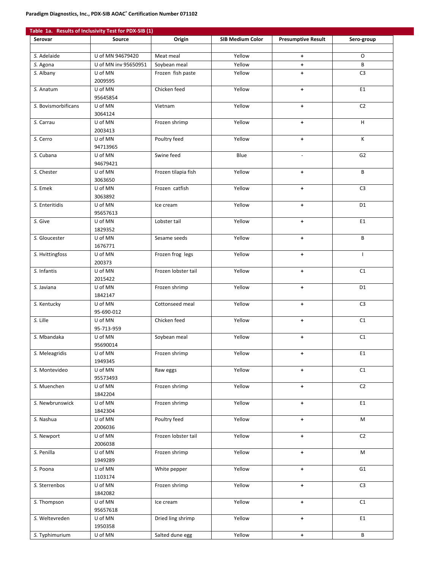|                     | Table 1a. Results of Inclusivity Test for PDX-SIB (1) |                     |                         |                           |                |
|---------------------|-------------------------------------------------------|---------------------|-------------------------|---------------------------|----------------|
| Serovar             | Source                                                | Origin              | <b>SIB Medium Color</b> | <b>Presumptive Result</b> | Sero-group     |
|                     |                                                       |                     |                         |                           |                |
| S. Adelaide         | U of MN 94679420                                      | Meat meal           | Yellow                  | $+$                       | O              |
| S. Agona            | U of MN inv 95650951                                  | Soybean meal        | Yellow                  | $\pm$                     | B              |
| S. Albany           | U of MN                                               | Frozen fish paste   | Yellow                  | ÷                         | C <sub>3</sub> |
|                     | 2009595                                               |                     |                         |                           |                |
| S. Anatum           | U of MN                                               | Chicken feed        | Yellow                  | $\pm$                     | E1             |
|                     | 95645854                                              |                     |                         |                           |                |
| S. Bovismorbificans | U of MN                                               | Vietnam             | Yellow                  | $\pm$                     | C <sub>2</sub> |
|                     | 3064124                                               |                     |                         |                           |                |
| S. Carrau           | U of MN                                               | Frozen shrimp       | Yellow                  | $\pm$                     | H              |
|                     | 2003413                                               |                     |                         |                           |                |
| S. Cerro            | U of MN                                               | Poultry feed        | Yellow                  | $\ddot{\phantom{1}}$      | К              |
|                     | 94713965                                              |                     |                         |                           |                |
| S. Cubana           | U of MN                                               | Swine feed          | Blue                    | $\mathcal{L}$             | G <sub>2</sub> |
|                     | 94679421                                              |                     |                         |                           |                |
| S. Chester          | U of MN                                               | Frozen tilapia fish | Yellow                  | $+$                       | B              |
|                     | 3063650                                               |                     |                         |                           |                |
|                     | U of MN                                               | Frozen catfish      | Yellow                  |                           | C <sub>3</sub> |
| S. Emek             | 3063892                                               |                     |                         | $\pm$                     |                |
|                     |                                                       |                     |                         |                           |                |
| S. Enteritidis      | U of MN                                               | Ice cream           | Yellow                  | $+$                       | D <sub>1</sub> |
|                     | 95657613                                              |                     |                         |                           |                |
| S. Give             | U of MN                                               | Lobster tail        | Yellow                  | $\pm$                     | E1             |
|                     | 1829352                                               |                     |                         |                           |                |
| S. Gloucester       | U of MN                                               | Sesame seeds        | Yellow                  | ٠                         | B              |
|                     | 1676771                                               |                     |                         |                           |                |
| S. Hvittingfoss     | U of MN                                               | Frozen frog legs    | Yellow                  | $+$                       | I.             |
|                     | 200373                                                |                     |                         |                           |                |
| S. Infantis         | U of MN                                               | Frozen lobster tail | Yellow                  | $+$                       | C1             |
|                     | 2015422                                               |                     |                         |                           |                |
| S. Javiana          | U of MN                                               | Frozen shrimp       | Yellow                  | $+$                       | D <sub>1</sub> |
|                     | 1842147                                               |                     |                         |                           |                |
| S. Kentucky         | U of MN                                               | Cottonseed meal     | Yellow                  | $\pm$                     | C <sub>3</sub> |
|                     | 95-690-012                                            |                     |                         |                           |                |
| S. Lille            | U of MN                                               | Chicken feed        | Yellow                  | $\pm$                     | C1             |
|                     | 95-713-959                                            |                     |                         |                           |                |
| S. Mbandaka         | U of MN                                               | Soybean meal        | Yellow                  | $\ddot{\phantom{1}}$      | C1             |
|                     | 95690014                                              |                     |                         |                           |                |
| S. Meleagridis      | U of MN                                               | Frozen shrimp       | Yellow                  | $\ddot{}$                 | E1             |
|                     | 1949345                                               |                     |                         |                           |                |
| S. Montevideo       | U of MN                                               | Raw eggs            | Yellow                  | $+$                       | C1             |
|                     | 95573493                                              |                     |                         |                           |                |
| S. Muenchen         | U of MN                                               | Frozen shrimp       | Yellow                  | $\pm$                     | C <sub>2</sub> |
|                     | 1842204                                               |                     |                         |                           |                |
| S. Newbrunswick     | U of MN                                               | Frozen shrimp       | Yellow                  | $\pm$                     | E1             |
|                     | 1842304                                               |                     |                         |                           |                |
| S. Nashua           | U of MN                                               | Poultry feed        | Yellow                  | $\pm$                     | M              |
|                     | 2006036                                               |                     |                         |                           |                |
| S. Newport          | U of MN                                               | Frozen lobster tail | Yellow                  | $+$                       | C <sub>2</sub> |
|                     | 2006038                                               |                     |                         |                           |                |
| S. Penilla          | U of MN                                               | Frozen shrimp       | Yellow                  | $+$                       | M              |
|                     | 1949289                                               |                     |                         |                           |                |
| S. Poona            | U of MN                                               |                     | Yellow                  |                           | G1             |
|                     | 1103174                                               | White pepper        |                         | $\pm$                     |                |
|                     |                                                       |                     |                         |                           |                |
| S. Sterrenbos       | U of MN                                               | Frozen shrimp       | Yellow                  | $\pm$                     | C <sub>3</sub> |
|                     | 1842082                                               |                     |                         |                           |                |
| S. Thompson         | U of MN                                               | Ice cream           | Yellow                  | $\pm$                     | C1             |
|                     | 95657618                                              |                     |                         |                           |                |
| S. Weltevreden      | U of MN                                               | Dried ling shrimp   | Yellow                  | $\color{red}+$            | E1             |
|                     | 1950358                                               |                     |                         |                           |                |
| S. Typhimurium      | U of MN                                               | Salted dune egg     | Yellow                  | $\pm$                     | B              |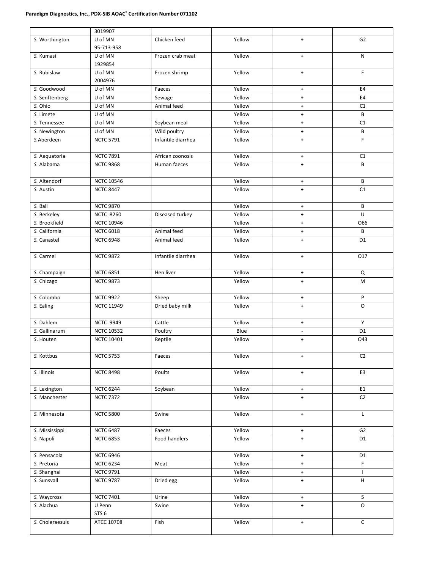|                 | 3019907           |                    |        |                      |                |
|-----------------|-------------------|--------------------|--------|----------------------|----------------|
| S. Worthington  | U of MN           | Chicken feed       | Yellow | ٠                    | G <sub>2</sub> |
|                 | 95-713-958        |                    |        |                      |                |
| S. Kumasi       | U of MN           | Frozen crab meat   | Yellow | ٠                    | N              |
|                 | 1929854           |                    |        |                      |                |
| S. Rubislaw     | U of MN           | Frozen shrimp      | Yellow | $+$                  | F              |
|                 | 2004976           |                    |        |                      |                |
| S. Goodwood     | U of MN           | Faeces             | Yellow | $\pm$                | E4             |
| S. Senftenberg  | U of MN           | Sewage             | Yellow | $\ddot{\phantom{1}}$ | E4             |
| S. Ohio         | U of MN           | Animal feed        | Yellow | $\ddot{\phantom{1}}$ | C1             |
| S. Limete       | U of MN           |                    | Yellow | $\ddagger$           | B              |
| S. Tennessee    | U of MN           | Soybean meal       | Yellow | $\ddot{\phantom{1}}$ | C1             |
| S. Newington    | U of MN           | Wild poultry       | Yellow | $\ddagger$           | В              |
| S.Aberdeen      | <b>NCTC 5791</b>  | Infantile diarrhea | Yellow | $+$                  | $\mathsf F$    |
|                 |                   |                    |        |                      |                |
| S. Aequatoria   | <b>NCTC 7891</b>  | African zoonosis   | Yellow | $+$                  | C1             |
| S. Alabama      | <b>NCTC 9868</b>  | Human faeces       | Yellow | $\ddot{\phantom{1}}$ | В              |
|                 |                   |                    |        |                      |                |
| S. Altendorf    | <b>NCTC 10546</b> |                    | Yellow | $\ddagger$           | В              |
| S. Austin       | <b>NCTC 8447</b>  |                    | Yellow | $\ddot{\phantom{1}}$ | C1             |
|                 |                   |                    |        |                      |                |
| S. Ball         | <b>NCTC 9870</b>  |                    | Yellow | $\ddot{\phantom{1}}$ | B              |
| S. Berkeley     | <b>NCTC 8260</b>  | Diseased turkey    | Yellow | ٠                    | U              |
| S. Brookfield   | <b>NCTC 10946</b> |                    | Yellow | $\ddot{\phantom{1}}$ | O66            |
| S. California   | <b>NCTC 6018</b>  | Animal feed        | Yellow | ٠                    | B              |
| S. Canastel     | <b>NCTC 6948</b>  | Animal feed        | Yellow |                      | D <sub>1</sub> |
|                 |                   |                    |        | ٠                    |                |
| S. Carmel       | <b>NCTC 9872</b>  | Infantile diarrhea | Yellow | ٠                    | 017            |
|                 |                   |                    |        |                      |                |
| S. Champaign    | <b>NCTC 6851</b>  | Hen liver          | Yellow | ٠                    | Q              |
|                 | <b>NCTC 9873</b>  |                    | Yellow | $+$                  | M              |
| S. Chicago      |                   |                    |        |                      |                |
| S. Colombo      | <b>NCTC 9922</b>  | Sheep              | Yellow | $\ddagger$           | P              |
| S. Ealing       | <b>NCTC 11949</b> | Dried baby milk    | Yellow | $\ddot{\phantom{1}}$ | $\circ$        |
|                 |                   |                    |        |                      |                |
| S. Dahlem       | <b>NCTC 9949</b>  | Cattle             | Yellow | ٠                    | Y              |
| S. Gallinarum   | <b>NCTC 10532</b> | Poultry            | Blue   | $\omega$             | D <sub>1</sub> |
| S. Houten       | <b>NCTC 10401</b> | Reptile            | Yellow | $\ddot{\phantom{1}}$ | 043            |
|                 |                   |                    |        |                      |                |
| S. Kottbus      | <b>NCTC 5753</b>  | Faeces             | Yellow | $\ddot{\phantom{1}}$ | C <sub>2</sub> |
|                 |                   |                    |        |                      |                |
| S. Illinois     | <b>NCTC 8498</b>  | Poults             | Yellow | $\pm$                | E3             |
|                 |                   |                    |        |                      |                |
| S. Lexington    | <b>NCTC 6244</b>  | Soybean            | Yellow | $\pm$                | E1             |
| S. Manchester   | <b>NCTC 7372</b>  |                    | Yellow | $\ddot{\phantom{1}}$ | C <sub>2</sub> |
|                 |                   |                    |        |                      |                |
| S. Minnesota    | <b>NCTC 5800</b>  | Swine              | Yellow | $+$                  | L              |
|                 |                   |                    |        |                      |                |
| S. Mississippi  | <b>NCTC 6487</b>  | Faeces             | Yellow | $\color{red}+$       | G <sub>2</sub> |
| S. Napoli       | <b>NCTC 6853</b>  | Food handlers      | Yellow | $+$                  | D1             |
|                 |                   |                    |        |                      |                |
| S. Pensacola    | <b>NCTC 6946</b>  |                    | Yellow |                      | D <sub>1</sub> |
|                 |                   |                    |        | $\color{red}+$       |                |
| S. Pretoria     | <b>NCTC 6234</b>  | Meat               | Yellow | $\ddot{\phantom{1}}$ | F              |
| S. Shanghai     | <b>NCTC 9791</b>  |                    | Yellow | $\pm$                | $\mathbf{I}$   |
| S. Sunsvall     | <b>NCTC 9787</b>  | Dried egg          | Yellow | $\ddot{\phantom{1}}$ | H              |
|                 |                   |                    |        |                      |                |
| S. Waycross     | <b>NCTC 7401</b>  | Urine              | Yellow | $\color{red}+$       | S              |
| S. Alachua      | U Penn            | Swine              | Yellow | $+$                  | $\mathsf O$    |
|                 | STS <sub>6</sub>  |                    | Yellow |                      |                |
| S. Choleraesuis | ATCC 10708        | Fish               |        | $+$                  | C              |
|                 |                   |                    |        |                      |                |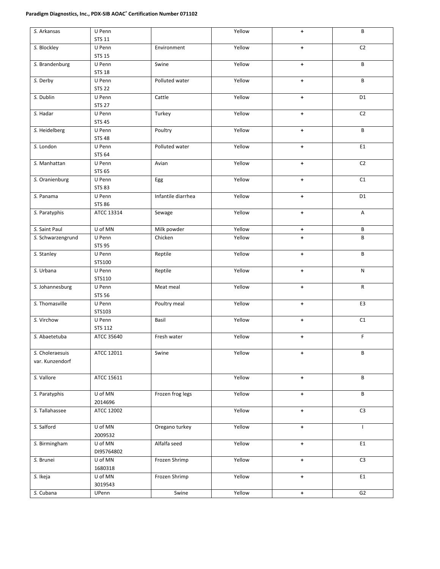### **Paradigm Diagnostics, Inc., PDX-SIB AOAC® Certification Number 071102**

| S. Arkansas                        | U Penn<br><b>STS 11</b>  |                    | Yellow | $\ddot{\phantom{1}}$ | B                         |
|------------------------------------|--------------------------|--------------------|--------|----------------------|---------------------------|
| S. Blockley                        | U Penn<br><b>STS 15</b>  | Environment        | Yellow | $\ddag$              | C <sub>2</sub>            |
| S. Brandenburg                     | U Penn<br><b>STS 18</b>  | Swine              | Yellow | $+$                  | B                         |
| S. Derby                           | U Penn                   | Polluted water     | Yellow | $\color{red}+$       | B                         |
| S. Dublin                          | <b>STS 22</b><br>U Penn  | Cattle             | Yellow | $\ddot{\phantom{1}}$ | D <sub>1</sub>            |
| S. Hadar                           | <b>STS 27</b><br>U Penn  | Turkey             | Yellow | $+$                  | C2                        |
| S. Heidelberg                      | <b>STS 45</b><br>U Penn  | Poultry            | Yellow | $+$                  | B                         |
|                                    | <b>STS 48</b>            |                    |        |                      |                           |
| S. London                          | U Penn<br><b>STS 64</b>  | Polluted water     | Yellow | $\pm$                | E1                        |
| S. Manhattan                       | U Penn<br><b>STS 65</b>  | Avian              | Yellow | $\color{red}+$       | C <sub>2</sub>            |
| S. Oranienburg                     | U Penn<br><b>STS 83</b>  | Egg                | Yellow | $\pm$                | C1                        |
| S. Panama                          | U Penn<br><b>STS 86</b>  | Infantile diarrhea | Yellow | $+$                  | D <sub>1</sub>            |
| S. Paratyphis                      | ATCC 13314               | Sewage             | Yellow | $+$                  | $\boldsymbol{\mathsf{A}}$ |
| S. Saint Paul                      | U of MN                  | Milk powder        | Yellow | ٠                    | В                         |
| S. Schwarzengrund                  | U Penn<br><b>STS 95</b>  | Chicken            | Yellow | $+$                  | B                         |
| S. Stanley                         | U Penn<br>STS100         | Reptile            | Yellow | $\color{red}+$       | В                         |
| S. Urbana                          | U Penn<br>STS110         | Reptile            | Yellow | $\color{red}+$       | N                         |
| S. Johannesburg                    | U Penn<br><b>STS 56</b>  | Meat meal          | Yellow | ٠                    | R                         |
| S. Thomasville                     | U Penn<br>STS103         | Poultry meal       | Yellow | $\color{red}+$       | E3                        |
| S. Virchow                         | U Penn<br><b>STS 112</b> | Basil              | Yellow | $+$                  | C1                        |
| S. Abaetetuba                      | ATCC 35640               | Fresh water        | Yellow | ٠                    | F                         |
| S. Choleraesuis<br>var. Kunzendorf | ATCC 12011               | Swine              | Yellow | $+$                  | B                         |
| S. Vallore                         | ATCC 15611               |                    | Yellow | $\pm$                | B                         |
| S. Paratyphis                      | U of MN<br>2014696       | Frozen frog legs   | Yellow | $\pm$                | В                         |
| S. Tallahassee                     | ATCC 12002               |                    | Yellow | $\pm$                | C <sub>3</sub>            |
| S. Salford                         | U of MN<br>2009532       | Oregano turkey     | Yellow | $\pm$                | $\mathsf{I}$              |
| S. Birmingham                      | U of MN<br>DI95764802    | Alfalfa seed       | Yellow | $\color{red}+$       | E1                        |
| S. Brunei                          | U of MN<br>1680318       | Frozen Shrimp      | Yellow | $\ddag$              | C <sub>3</sub>            |
| S. Ikeja                           | U of MN<br>3019543       | Frozen Shrimp      | Yellow | $\pm$                | E1                        |
| S. Cubana                          | UPenn                    | Swine              | Yellow | $\pm$                | G <sub>2</sub>            |
|                                    |                          |                    |        |                      |                           |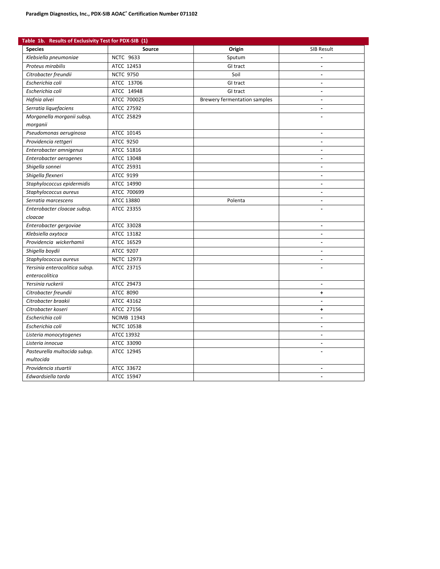| Table 1b. Results of Exclusivity Test for PDX-SIB (1) |                    |                              |                   |  |  |  |
|-------------------------------------------------------|--------------------|------------------------------|-------------------|--|--|--|
| <b>Species</b>                                        | Source             | Origin                       | <b>SIB Result</b> |  |  |  |
| Klebsiella pneumoniae                                 | <b>NCTC 9633</b>   | Sputum                       |                   |  |  |  |
| Proteus mirabilis                                     | ATCC 12453         | GI tract                     | $\blacksquare$    |  |  |  |
| Citrobacter freundii                                  | <b>NCTC 9750</b>   | Soil                         |                   |  |  |  |
| Escherichia coli                                      | ATCC 13706         | GI tract                     |                   |  |  |  |
| Escherichia coli                                      | ATCC 14948         | GI tract                     | $\sim$            |  |  |  |
| Hafnia alvei                                          | ATCC 700025        | Brewery fermentation samples | $\sim$            |  |  |  |
| Serratia liquefaciens                                 | ATCC 27592         |                              | ä,                |  |  |  |
| Morganella morganii subsp.<br>morganii                | ATCC 25829         |                              |                   |  |  |  |
| Pseudomonas aeruginosa                                | ATCC 10145         |                              | $\sim$            |  |  |  |
| Providencia rettgeri                                  | ATCC 9250          |                              |                   |  |  |  |
| Enterobacter amnigenus                                | ATCC 51816         |                              |                   |  |  |  |
| Enterobacter aerogenes                                | ATCC 13048         |                              | $\sim$            |  |  |  |
| Shigella sonnei                                       | ATCC 25931         |                              |                   |  |  |  |
| Shigella flexneri                                     | ATCC 9199          |                              |                   |  |  |  |
| Staphylococcus epidermidis                            | ATCC 14990         |                              | $\sim$            |  |  |  |
| Staphylococcus aureus                                 | ATCC 700699        |                              | $\blacksquare$    |  |  |  |
| Serratia marcescens                                   | ATCC 13880         | Polenta                      |                   |  |  |  |
| Enterobacter cloacae subsp.                           | ATCC 23355         |                              |                   |  |  |  |
| cloacae                                               |                    |                              |                   |  |  |  |
| Enterobacter gergoviae                                | ATCC 33028         |                              | $\sim$            |  |  |  |
| Klebsiella oxytoca                                    | ATCC 13182         |                              |                   |  |  |  |
| Providencia wickerhamii                               | ATCC 16529         |                              | ä,                |  |  |  |
| Shigella boydii                                       | ATCC 9207          |                              | $\blacksquare$    |  |  |  |
| Staphylococcus aureus                                 | <b>NCTC 12973</b>  |                              |                   |  |  |  |
| Yersinia enterocolitica subsp.                        | ATCC 23715         |                              |                   |  |  |  |
| enterocolitica                                        |                    |                              |                   |  |  |  |
| Yersinia ruckerii                                     | ATCC 29473         |                              | $\sim$            |  |  |  |
| Citrobacter freundii                                  | ATCC 8090          |                              | ٠                 |  |  |  |
| Citrobacter braakii                                   | ATCC 43162         |                              |                   |  |  |  |
| Citrobacter koseri                                    | ATCC 27156         |                              | $\ddot{}$         |  |  |  |
| Escherichia coli                                      | <b>NCIMB 11943</b> |                              | $\overline{a}$    |  |  |  |
| Escherichia coli                                      | <b>NCTC 10538</b>  |                              |                   |  |  |  |
| Listeria monocytogenes                                | ATCC 13932         |                              |                   |  |  |  |
| Listeria innocua                                      | ATCC 33090         |                              | $\sim$            |  |  |  |
| Pasteurella multocida subsp.                          | ATCC 12945         |                              |                   |  |  |  |
| multocida                                             |                    |                              |                   |  |  |  |
| Providencia stuartii                                  | ATCC 33672         |                              |                   |  |  |  |
| Edwardsiella tarda                                    | ATCC 15947         |                              | $\overline{a}$    |  |  |  |